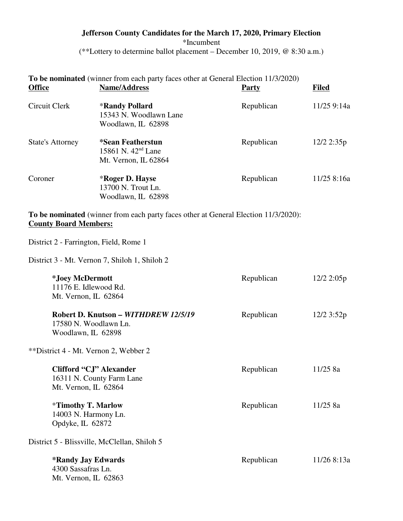# **Jefferson County Candidates for the March 17, 2020, Primary Election** \*Incumbent (\*\*Lottery to determine ballot placement – December 10, 2019, @ 8:30 a.m.)

# **To be nominated** (winner from each party faces other at General Election 11/3/2020)

| <b>Office</b>                                                                       | <b>Name/Address</b>                                                                 | <b>Party</b> | <b>Filed</b> |
|-------------------------------------------------------------------------------------|-------------------------------------------------------------------------------------|--------------|--------------|
| Circuit Clerk                                                                       | <b>*Randy Pollard</b><br>15343 N. Woodlawn Lane<br>Woodlawn, IL 62898               | Republican   | 11/25 9:14a  |
| <b>State's Attorney</b>                                                             | *Sean Featherstun<br>15861 N. 42 <sup>nd</sup> Lane<br>Mt. Vernon, IL 62864         | Republican   | $12/2$ 2:35p |
| Coroner                                                                             | *Roger D. Hayse<br>13700 N. Trout Ln.<br>Woodlawn, IL 62898                         | Republican   | 11/25 8:16a  |
| <b>County Board Members:</b>                                                        | To be nominated (winner from each party faces other at General Election 11/3/2020): |              |              |
| District 2 - Farrington, Field, Rome 1                                              |                                                                                     |              |              |
|                                                                                     | District 3 - Mt. Vernon 7, Shiloh 1, Shiloh 2                                       |              |              |
| *Joey McDermott<br>11176 E. Idlewood Rd.<br>Mt. Vernon, IL 62864                    |                                                                                     | Republican   | $12/2$ 2:05p |
| Robert D. Knutson - WITHDREW 12/5/19<br>17580 N. Woodlawn Ln.<br>Woodlawn, IL 62898 |                                                                                     | Republican   | $12/2$ 3:52p |
| **District 4 - Mt. Vernon 2, Webber 2                                               |                                                                                     |              |              |
| Clifford "CJ" Alexander<br>16311 N. County Farm Lane<br>Mt. Vernon, IL 62864        |                                                                                     | Republican   | 11/25 8a     |
| <i>*</i> Timothy T. Marlow<br>14003 N. Harmony Ln.<br>Opdyke, IL 62872              |                                                                                     | Republican   | 11/258a      |
|                                                                                     | District 5 - Blissville, McClellan, Shiloh 5                                        |              |              |
| <b>*Randy Jay Edwards</b><br>4300 Sassafras Ln.<br>Mt. Vernon, IL 62863             |                                                                                     | Republican   | 11/26 8:13a  |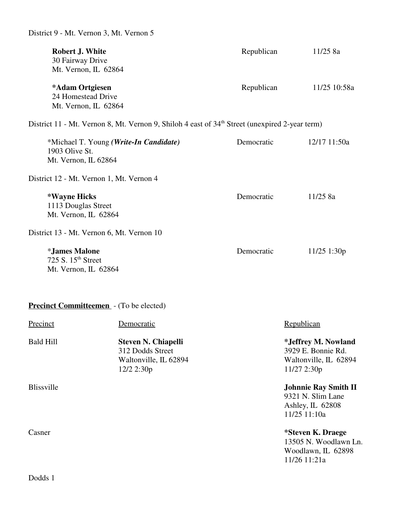| <b>Robert J. White</b><br>30 Fairway Drive<br>Mt. Vernon, IL 62864                    |                                                                                                            | Republican | 11/25 8a                                                                                 |
|---------------------------------------------------------------------------------------|------------------------------------------------------------------------------------------------------------|------------|------------------------------------------------------------------------------------------|
| *Adam Ortgiesen<br>24 Homestead Drive<br>Mt. Vernon, IL 62864                         |                                                                                                            | Republican | 11/25 10:58a                                                                             |
|                                                                                       | District 11 - Mt. Vernon 8, Mt. Vernon 9, Shiloh 4 east of 34 <sup>th</sup> Street (unexpired 2-year term) |            |                                                                                          |
| *Michael T. Young (Write-In Candidate)<br>1903 Olive St.<br>Mt. Vernon, IL 62864      |                                                                                                            | Democratic | 12/17 11:50a                                                                             |
| District 12 - Mt. Vernon 1, Mt. Vernon 4                                              |                                                                                                            |            |                                                                                          |
| *Wayne Hicks<br>1113 Douglas Street<br>Mt. Vernon, IL 62864                           |                                                                                                            | Democratic | 11/25 8a                                                                                 |
|                                                                                       | District 13 - Mt. Vernon 6, Mt. Vernon 10                                                                  |            |                                                                                          |
| <i><b>*James Malone</b></i><br>725 S. 15 <sup>th</sup> Street<br>Mt. Vernon, IL 62864 |                                                                                                            | Democratic | $11/25$ 1:30p                                                                            |
|                                                                                       | <b>Precinct Committeemen</b> - (To be elected)                                                             |            |                                                                                          |
| <b>Precinct</b>                                                                       | Democratic                                                                                                 |            | Republican                                                                               |
| <b>Bald Hill</b>                                                                      | <b>Steven N. Chiapelli</b><br>312 Dodds Street<br>Waltonville, IL 62894<br>12/2 2:30p                      |            | <i>*Jeffrey M. Nowland</i><br>3929 E. Bonnie Rd.<br>Waltonville, IL 62894<br>11/27 2:30p |
| <b>Blissville</b>                                                                     |                                                                                                            |            | <b>Johnnie Ray Smith II</b><br>9321 N. Slim Lane<br>Ashley, IL 62808<br>11/25 11:10a     |
| Casner                                                                                |                                                                                                            |            | *Steven K. Draege<br>13505 N. Woodlawn Ln.<br>Woodlawn, IL 62898<br>11/26 11:21a         |
|                                                                                       |                                                                                                            |            |                                                                                          |

Dodds 1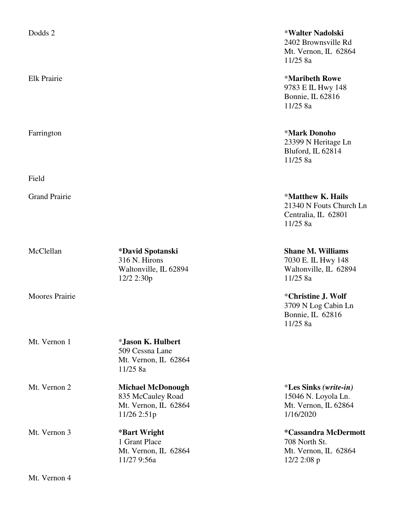| Dodds 2               |                                                                                      | *Walter Na<br>2402 Brown<br>Mt. Vernon,<br>11/25 8a                |
|-----------------------|--------------------------------------------------------------------------------------|--------------------------------------------------------------------|
| Elk Prairie           |                                                                                      | *Maribeth<br>9783 E IL H<br>Bonnie, IL 6<br>11/25 8a               |
| Farrington            |                                                                                      | <b>*Mark Don</b><br>23399 N He<br>Bluford, IL<br>11/25 8a          |
| Field                 |                                                                                      |                                                                    |
| <b>Grand Prairie</b>  |                                                                                      | *Matthew 1<br>21340 N Fo<br>Centralia, II<br>11/25 8a              |
| McClellan             | *David Spotanski<br>316 N. Hirons<br>Waltonville, IL 62894<br>12/2 2:30p             | Shane M.V<br>7030 E. IL I<br>Waltonville.<br>11/25 8a              |
| <b>Moores Prairie</b> |                                                                                      | *Christine,<br>3709 N Log<br>Bonnie, IL<br>11/25 8a                |
| Mt. Vernon 1          | *Jason K. Hulbert<br>509 Cessna Lane<br>Mt. Vernon, IL 62864<br>11/25 8a             |                                                                    |
| Mt. Vernon 2          | <b>Michael McDonough</b><br>835 McCauley Road<br>Mt. Vernon, IL 62864<br>11/26 2:51p | <i><b>*Les Sinks</b></i><br>15046 N.Lo<br>Mt. Vernon,<br>1/16/2020 |
| Mt. Vernon 3          | *Bart Wright<br>1 Grant Place<br>Mt. Vernon, IL 62864<br>11/27 9:56a                 | <i>*Cassandra</i><br>708 North S<br>Mt. Vernon,<br>$12/2$ 2:08 p   |

Dodds 2 \***Walter Nadolski** 

2402 Brownsville Rd Mt. Vernon, IL 62864 11/25 8a

### Elk Prairie \***Maribeth Rowe**

9783 E IL Hwy 148 Bonnie, IL 62816 11/25 8a

Farrington \***Mark Donoho**

23399 N Heritage Ln Bluford, IL 62814 11/25 8a

# Grand Prairie \***Matthew K. Hails**

21340 N Fouts Church Ln Centralia, IL 62801 11/25 8a

### **Shane M. Williams**

7030 E. IL Hwy 148 Waltonville, IL 62894  $11/25$  8a

# Moores Prairie \***Christine J. Wolf**

3709 N Log Cabin Ln Bonnie, IL 62816 11/25 8a

#### Mt. Vernon 2 **Michael McDonough** \***Les Sinks** *(write-in)*

15046 N. Loyola Ln. Mt. Vernon, IL  $62864$  $1/16/2020$ 

Mt. Vernon 3 **\*Bart Wright \*Cassandra McDermott** 708 North St.

Mt. Vernon, IL 62864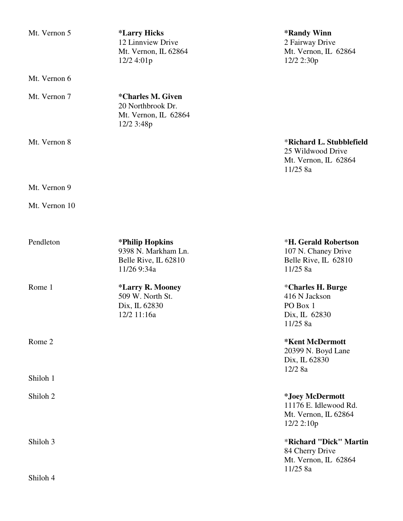Mt. Vernon 5 **\*Larry Hicks** \***Randy Winn**<br>12 Linnview Drive 2 Fairway Drive 12 Linnview Drive<br>Mt. Vernon, IL 62864 12/2 4:01p

Mt. Vernon 6

Mt. Vernon 7 **\*Charles M. Given** 20 Northbrook Dr. Mt. Vernon, IL 62864 12/2 3:48p

Mt. Vernon 9

Mt. Vernon 10

| Pendleton           | *Philip Hopkins         | <b>*H. Gerald Robertson</b> |
|---------------------|-------------------------|-----------------------------|
|                     | 9398 N. Markham Ln.     | 107 N. Chaney Drive         |
|                     | Belle Rive, IL 62810    | Belle Rive, IL 62810        |
|                     | 11/26 9:34a             | 11/258a                     |
| Rome 1              | <i>*Larry R. Mooney</i> | *Charles H. Burge           |
|                     | 509 W. North St.        | 416 N Jackson               |
|                     | Dix, IL 62830           | PO Box 1                    |
|                     | 12/2 11:16a             | Dix, IL 62830               |
|                     |                         | 11/25 8a                    |
| Rome 2              |                         | <b>*Kent McDermott</b>      |
|                     |                         | 20399 N. Boyd Lane          |
|                     |                         | Dix, IL 62830               |
|                     |                         | $12/2$ 8a                   |
| Shiloh 1            |                         |                             |
| Shiloh <sub>2</sub> |                         | *Joey McDermott             |
|                     |                         | 11176 E. Idlewood Rd.       |
|                     |                         | Mt. Vernon, IL 62864        |
|                     |                         | $12/2$ 2:10p                |
| Shiloh 3            |                         | *Richard "Dick" Martin      |
|                     |                         | 84 Cherry Drive             |
|                     |                         | Mt. Vernon, IL 62864        |
|                     |                         | 11/258a                     |
| Shiloh 4            |                         |                             |

Mt. Vernon, IL 62864<br>12/2 2:30p

# Mt. Vernon 8 \***Richard L. Stubblefield**

25 Wildwood Drive Mt. Vernon, IL 62864 11/25 8a